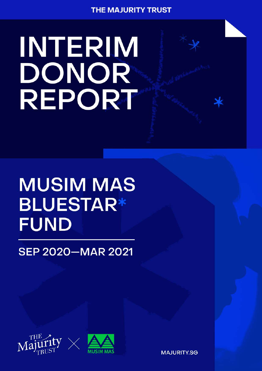## **THE MAJURITY TRUST**

# INTERIM DONOR REPORT

# **MUSIM MAS BLUESTAR\* FUND**

# **SEP 2020-MAR 2021**





**MAJURITY.SG**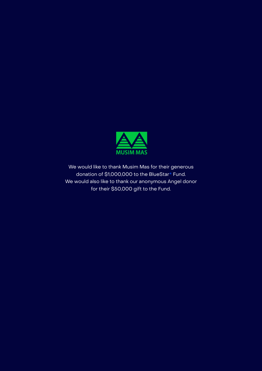

We would like to thank Musim Mas for their generous donation of \$1,000,000 to the BlueStar\* Fund. We would also like to thank our anonymous Angel donor for their \$50,000 gift to the Fund.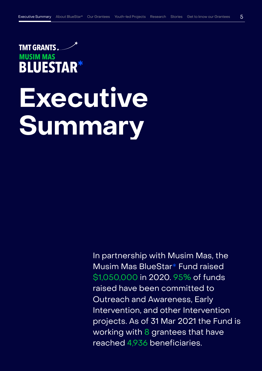<span id="page-2-0"></span>

# Executive Summary

In partnership with Musim Mas, the Musim Mas BlueStar\* Fund raised \$1,050,000 in 2020. 95% of funds raised have been committed to Outreach and Awareness, Early Intervention, and other Intervention projects. As of 31 Mar 2021 the Fund is working with 8 grantees that have reached 4,936 beneficiaries.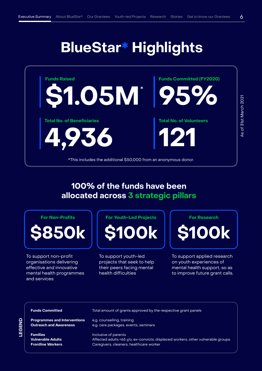# BlueStar\* Highlights



## 100% of the funds have been allocated across 3 strategic pillars



To support non-profit organisations delivering effective and innovative mental health programmes and services



To support youth-led projects that seek to help their peers facing mental health difficulties

For Research \$100k

To support applied research on youth experiences of mental health support, so as to improve future grant calls.

#### Funds Committed

Programmes and Interventions Outreach and Awareness

Families Vulnerable Adults Frontline Workers Total amount of grants approved by the respective grant panels

e.g. counselling, training e.g. care packages, events, seminars

Inclusive of parents Affected adults <65 y/o, ex-convicts, displaced workers, other vulnerable groups Caregivers, cleaners, healthcare worker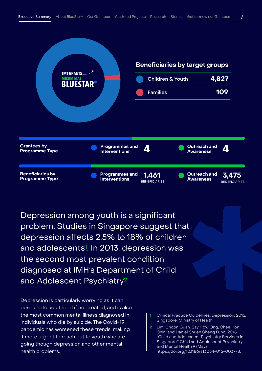

Depression among youth is a significant problem. Studies in Singapore suggest that depression affects 2.5% to 18% of children and adolescents1. In 2013, depression was the second most prevalent condition diagnosed at IMH's Department of Child and Adolescent Psychiatry2.

Depression is particularly worrying as it can persist into adulthood if not treated, and is also the most common mental illness diagnosed in individuals who die by suicide. The Covid-19 pandemic has worsened these trends, making it more urgent to reach out to youth who are going though depression and other mental health problems.

- Clinical Practice Guidelines: Depression. 2012. Singapore: Ministry of Health. 1
- Lim, Choon Guan, Say How Ong, Chee Hon Chin, and Daniel Shuen Sheng Fung. 2015. "Child and Adolescent Psychiatry Services in Singapore." Child and Adolescent Psychiatry and Mental Health 9 (May). <https://doi.org/10.1186/s13034-015-0037-8>. 2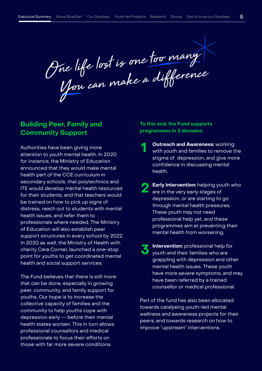One life lost is one too many Nou can make a difference

### Building Peer, Family and Community Support

Authorities have been giving more attention to youth mental health. In 2020 for instance, the Ministry of Education announced that they would make mental health part of the CCE curriculum in secondary schools, that polytechnics and ITE would develop mental health resources for their students, and that teachers would be trained on how to pick up signs of distress, reach out to students with mental health issues, and refer them to professionals where needed. The Ministry of Education will also establish peer support structures in every school by 2022. In 2020 as well, the Ministry of Health with charity Care Corner, launched a one-stop point for youths to get coordinated mental health and social support services.

The Fund believes that there is still more that can be done, especially in growing peer, community, and family support for youths. Our hope is to increase the collective capacity of families and the community to help youths cope with depression early -- before their mental health states worsen. This in turn allows professional counsellors and medical professionals to focus their efforts on those with far more severe conditions.

#### To this end, the Fund supports programmes in 3 domains:

- **Outreach and Awareness: working** with youth and families to remove the stigma of depression, and give more confidence in discussing mental health. 1
- **Early Intervention:** helping youth who **2** Early Intervention: helping you<br>are in the very early stages of depression, or are starting to go through mental health pressures. These youth may not need professional help yet, and these programmes aim at preventing their mental health from worsening.
- Intervention: professional help for youth and their families who are grappling with depression and other mental health issues. These youth have more severe symptoms, and may have been referred by a trained counsellor or medical professional. 3

Part of the fund has also been allocated towards catalysing youth-led mental wellness and awareness projects for their peers; and towards research on how to improve "upstream" interventions.